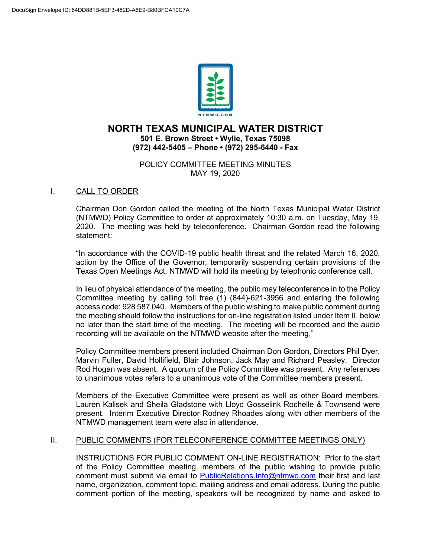

# **NORTH TEXAS MUNICIPAL WATER DISTRICT 501 E. Brown Street • Wylie, Texas 75098 (972) 442-5405 – Phone • (972) 295-6440 - Fax**

#### POLICY COMMITTEE MEETING MINUTES MAY 19, 2020

# I. CALL TO ORDER

Chairman Don Gordon called the meeting of the North Texas Municipal Water District (NTMWD) Policy Committee to order at approximately 10:30 a.m. on Tuesday, May 19, 2020. The meeting was held by teleconference. Chairman Gordon read the following statement:

"In accordance with the COVID-19 public health threat and the related March 16, 2020, action by the Office of the Governor, temporarily suspending certain provisions of the Texas Open Meetings Act, NTMWD will hold its meeting by telephonic conference call.

In lieu of physical attendance of the meeting, the public may teleconference in to the Policy Committee meeting by calling toll free (1) (844)-621-3956 and entering the following access code: 928 587 040. Members of the public wishing to make public comment during the meeting should follow the instructions for on-line registration listed under Item II. below no later than the start time of the meeting. The meeting will be recorded and the audio recording will be available on the NTMWD website after the meeting."

Policy Committee members present included Chairman Don Gordon, Directors Phil Dyer, Marvin Fuller, David Hollifield, Blair Johnson, Jack May and Richard Peasley. Director Rod Hogan was absent. A quorum of the Policy Committee was present. Any references to unanimous votes refers to a unanimous vote of the Committee members present.

Members of the Executive Committee were present as well as other Board members. Lauren Kalisek and Sheila Gladstone with Lloyd Gosselink Rochelle & Townsend were present. Interim Executive Director Rodney Rhoades along with other members of the NTMWD management team were also in attendance.

# II. PUBLIC COMMENTS (FOR TELECONFERENCE COMMITTEE MEETINGS ONLY)

INSTRUCTIONS FOR PUBLIC COMMENT ON-LINE REGISTRATION: Prior to the start of the Policy Committee meeting, members of the public wishing to provide public comment must submit via email to [PublicRelations.Info@ntmwd.com](mailto:PublicRelations.Info@ntmwd.com) their first and last name, organization, comment topic, mailing address and email address. During the public comment portion of the meeting, speakers will be recognized by name and asked to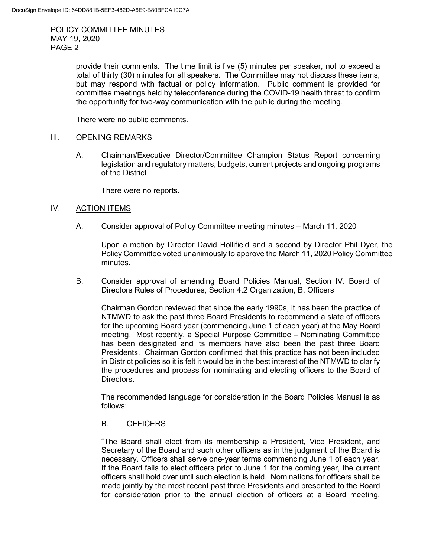POLICY COMMITTEE MINUTES MAY 19, 2020 PAGE 2

> provide their comments. The time limit is five (5) minutes per speaker, not to exceed a total of thirty (30) minutes for all speakers. The Committee may not discuss these items, but may respond with factual or policy information. Public comment is provided for committee meetings held by teleconference during the COVID-19 health threat to confirm the opportunity for two-way communication with the public during the meeting.

There were no public comments.

#### III. OPENING REMARKS

A. Chairman/Executive Director/Committee Champion Status Report concerning legislation and regulatory matters, budgets, current projects and ongoing programs of the District

There were no reports.

# IV. ACTION ITEMS

A. Consider approval of Policy Committee meeting minutes – March 11, 2020

Upon a motion by Director David Hollifield and a second by Director Phil Dyer, the Policy Committee voted unanimously to approve the March 11, 2020 Policy Committee minutes.

B. Consider approval of amending Board Policies Manual, Section IV. Board of Directors Rules of Procedures, Section 4.2 Organization, B. Officers

Chairman Gordon reviewed that since the early 1990s, it has been the practice of NTMWD to ask the past three Board Presidents to recommend a slate of officers for the upcoming Board year (commencing June 1 of each year) at the May Board meeting. Most recently, a Special Purpose Committee – Nominating Committee has been designated and its members have also been the past three Board Presidents. Chairman Gordon confirmed that this practice has not been included in District policies so it is felt it would be in the best interest of the NTMWD to clarify the procedures and process for nominating and electing officers to the Board of Directors.

The recommended language for consideration in the Board Policies Manual is as follows:

# B. OFFICERS

"The Board shall elect from its membership a President, Vice President, and Secretary of the Board and such other officers as in the judgment of the Board is necessary. Officers shall serve one-year terms commencing June 1 of each year. If the Board fails to elect officers prior to June 1 for the coming year, the current officers shall hold over until such election is held. Nominations for officers shall be made jointly by the most recent past three Presidents and presented to the Board for consideration prior to the annual election of officers at a Board meeting.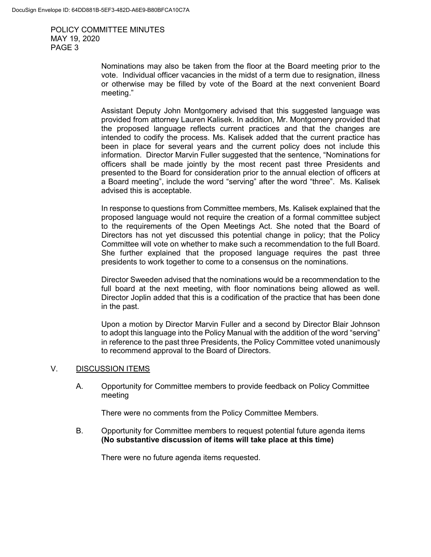POLICY COMMITTEE MINUTES MAY 19, 2020 PAGE 3

> Nominations may also be taken from the floor at the Board meeting prior to the vote. Individual officer vacancies in the midst of a term due to resignation, illness or otherwise may be filled by vote of the Board at the next convenient Board meeting."

> Assistant Deputy John Montgomery advised that this suggested language was provided from attorney Lauren Kalisek. In addition, Mr. Montgomery provided that the proposed language reflects current practices and that the changes are intended to codify the process. Ms. Kalisek added that the current practice has been in place for several years and the current policy does not include this information. Director Marvin Fuller suggested that the sentence, "Nominations for officers shall be made jointly by the most recent past three Presidents and presented to the Board for consideration prior to the annual election of officers at a Board meeting", include the word "serving" after the word "three". Ms. Kalisek advised this is acceptable.

> In response to questions from Committee members, Ms. Kalisek explained that the proposed language would not require the creation of a formal committee subject to the requirements of the Open Meetings Act. She noted that the Board of Directors has not yet discussed this potential change in policy; that the Policy Committee will vote on whether to make such a recommendation to the full Board. She further explained that the proposed language requires the past three presidents to work together to come to a consensus on the nominations.

> Director Sweeden advised that the nominations would be a recommendation to the full board at the next meeting, with floor nominations being allowed as well. Director Joplin added that this is a codification of the practice that has been done in the past.

> Upon a motion by Director Marvin Fuller and a second by Director Blair Johnson to adopt this language into the Policy Manual with the addition of the word "serving" in reference to the past three Presidents, the Policy Committee voted unanimously to recommend approval to the Board of Directors.

# V. DISCUSSION ITEMS

A. Opportunity for Committee members to provide feedback on Policy Committee meeting

There were no comments from the Policy Committee Members.

B. Opportunity for Committee members to request potential future agenda items **(No substantive discussion of items will take place at this time)**

There were no future agenda items requested.